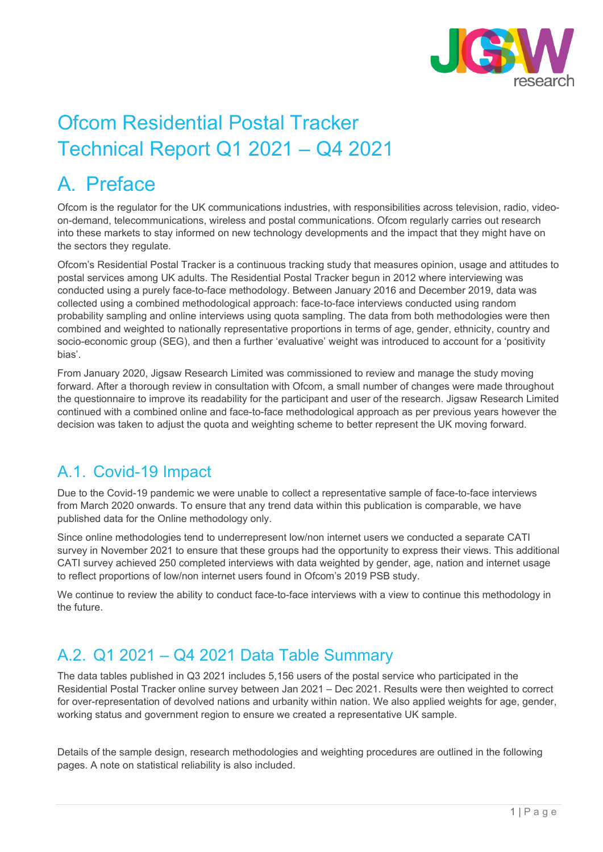

# Ofcom Residential Postal Tracker Technical Report Q1 2021 – Q4 2021

### A. Preface

Ofcom is the regulator for the UK communications industries, with responsibilities across television, radio, videoon-demand, telecommunications, wireless and postal communications. Ofcom regularly carries out research into these markets to stay informed on new technology developments and the impact that they might have on the sectors they regulate.

Ofcom's Residential Postal Tracker is a continuous tracking study that measures opinion, usage and attitudes to postal services among UK adults. The Residential Postal Tracker begun in 2012 where interviewing was conducted using a purely face-to-face methodology. Between January 2016 and December 2019, data was collected using a combined methodological approach: face-to-face interviews conducted using random probability sampling and online interviews using quota sampling. The data from both methodologies were then combined and weighted to nationally representative proportions in terms of age, gender, ethnicity, country and socio-economic group (SEG), and then a further 'evaluative' weight was introduced to account for a 'positivity bias'.

From January 2020, Jigsaw Research Limited was commissioned to review and manage the study moving forward. After a thorough review in consultation with Ofcom, a small number of changes were made throughout the questionnaire to improve its readability for the participant and user of the research. Jigsaw Research Limited continued with a combined online and face-to-face methodological approach as per previous years however the decision was taken to adjust the quota and weighting scheme to better represent the UK moving forward.

### A.1. Covid-19 Impact

Due to the Covid-19 pandemic we were unable to collect a representative sample of face-to-face interviews from March 2020 onwards. To ensure that any trend data within this publication is comparable, we have published data for the Online methodology only.

Since online methodologies tend to underrepresent low/non internet users we conducted a separate CATI survey in November 2021 to ensure that these groups had the opportunity to express their views. This additional CATI survey achieved 250 completed interviews with data weighted by gender, age, nation and internet usage to reflect proportions of low/non internet users found in Ofcom's 2019 PSB study.

We continue to review the ability to conduct face-to-face interviews with a view to continue this methodology in the future.

### A.2. Q1 2021 – Q4 2021 Data Table Summary

The data tables published in Q3 2021 includes 5,156 users of the postal service who participated in the Residential Postal Tracker online survey between Jan 2021 – Dec 2021. Results were then weighted to correct for over-representation of devolved nations and urbanity within nation. We also applied weights for age, gender, working status and government region to ensure we created a representative UK sample.

Details of the sample design, research methodologies and weighting procedures are outlined in the following pages. A note on statistical reliability is also included.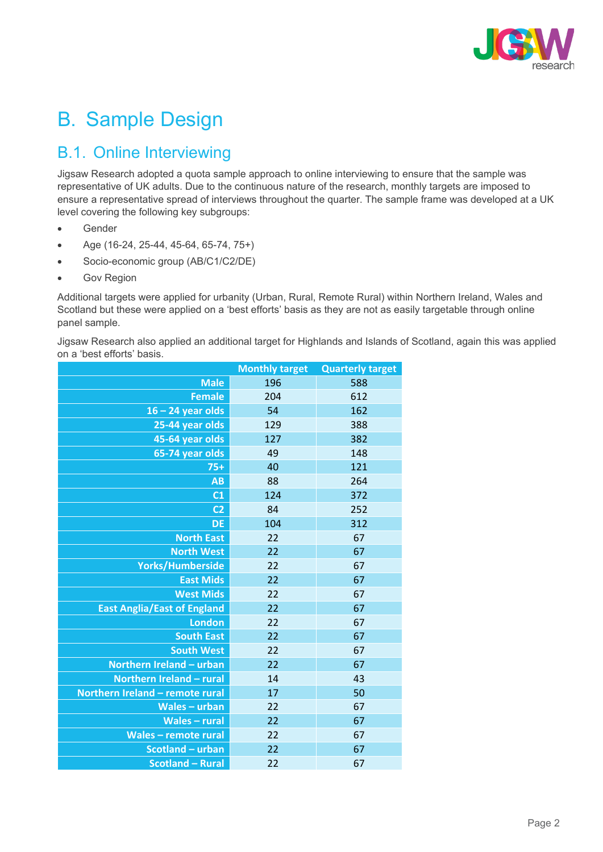

# B. Sample Design

### B.1. Online Interviewing

Jigsaw Research adopted a quota sample approach to online interviewing to ensure that the sample was representative of UK adults. Due to the continuous nature of the research, monthly targets are imposed to ensure a representative spread of interviews throughout the quarter. The sample frame was developed at a UK level covering the following key subgroups:

- Gender
- Age (16-24, 25-44, 45-64, 65-74, 75+)
- Socio-economic group (AB/C1/C2/DE)
- Gov Region

Additional targets were applied for urbanity (Urban, Rural, Remote Rural) within Northern Ireland, Wales and Scotland but these were applied on a 'best efforts' basis as they are not as easily targetable through online panel sample.

Jigsaw Research also applied an additional target for Highlands and Islands of Scotland, again this was applied on a 'best efforts' basis.

|                                    | <b>Monthly target</b> | <b>Quarterly target</b> |
|------------------------------------|-----------------------|-------------------------|
| <b>Male</b>                        | 196                   | 588                     |
| <b>Female</b>                      | 204                   | 612                     |
| $16 - 24$ year olds                | 54                    | 162                     |
| 25-44 year olds                    | 129                   | 388                     |
| 45-64 year olds                    | 127                   | 382                     |
| 65-74 year olds                    | 49                    | 148                     |
| $75+$                              | 40                    | 121                     |
| AB                                 | 88                    | 264                     |
| C <sub>1</sub>                     | 124                   | 372                     |
| C <sub>2</sub>                     | 84                    | 252                     |
| <b>DE</b>                          | 104                   | 312                     |
| <b>North East</b>                  | 22                    | 67                      |
| <b>North West</b>                  | 22                    | 67                      |
| Yorks/Humberside                   | 22                    | 67                      |
| <b>East Mids</b>                   | 22                    | 67                      |
| <b>West Mids</b>                   | 22                    | 67                      |
| <b>East Anglia/East of England</b> | 22                    | 67                      |
| <b>London</b>                      | 22                    | 67                      |
| <b>South East</b>                  | 22                    | 67                      |
| <b>South West</b>                  | 22                    | 67                      |
| Northern Ireland - urban           | 22                    | 67                      |
| Northern Ireland - rural           | 14                    | 43                      |
| Northern Ireland - remote rural    | 17                    | 50                      |
| <b>Wales - urban</b>               | 22                    | 67                      |
| <b>Wales-rural</b>                 | 22                    | 67                      |
| <b>Wales-remote rural</b>          | 22                    | 67                      |
| Scotland - urban                   | 22                    | 67                      |
| <b>Scotland - Rural</b>            | 22                    | 67                      |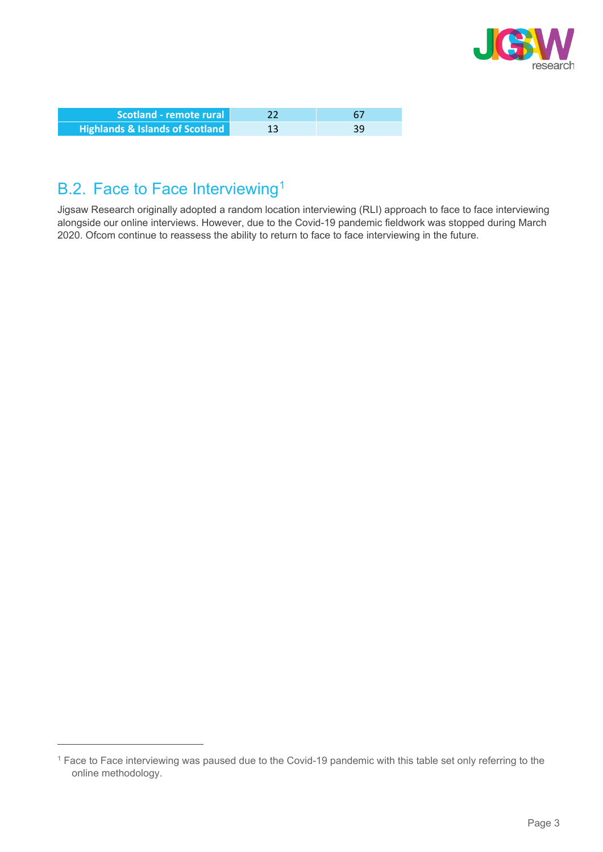

| Scotland - remote rural                    |    |    |
|--------------------------------------------|----|----|
| <b>Highlands &amp; Islands of Scotland</b> | 13 | 39 |

### B.2. Face to Face Interviewing<sup>[1](#page-2-0)</sup>

Jigsaw Research originally adopted a random location interviewing (RLI) approach to face to face interviewing alongside our online interviews. However, due to the Covid-19 pandemic fieldwork was stopped during March 2020. Ofcom continue to reassess the ability to return to face to face interviewing in the future.

<span id="page-2-0"></span><sup>&</sup>lt;sup>1</sup> Face to Face interviewing was paused due to the Covid-19 pandemic with this table set only referring to the online methodology.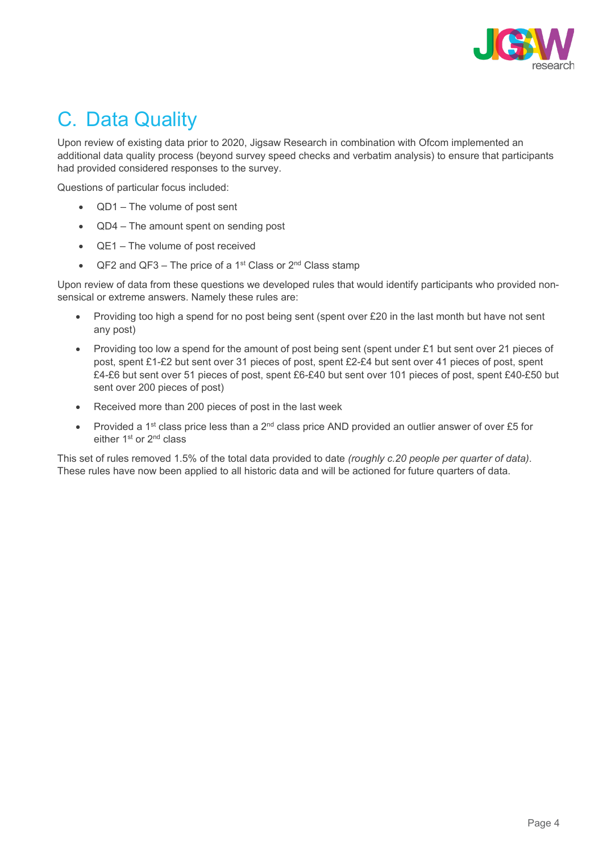

## C. Data Quality

Upon review of existing data prior to 2020, Jigsaw Research in combination with Ofcom implemented an additional data quality process (beyond survey speed checks and verbatim analysis) to ensure that participants had provided considered responses to the survey.

Questions of particular focus included:

- QD1 The volume of post sent
- QD4 The amount spent on sending post
- QE1 The volume of post received
- QF2 and QF3 The price of a 1<sup>st</sup> Class or  $2<sup>nd</sup>$  Class stamp

Upon review of data from these questions we developed rules that would identify participants who provided nonsensical or extreme answers. Namely these rules are:

- Providing too high a spend for no post being sent (spent over £20 in the last month but have not sent any post)
- Providing too low a spend for the amount of post being sent (spent under £1 but sent over 21 pieces of post, spent £1-£2 but sent over 31 pieces of post, spent £2-£4 but sent over 41 pieces of post, spent £4-£6 but sent over 51 pieces of post, spent £6-£40 but sent over 101 pieces of post, spent £40-£50 but sent over 200 pieces of post)
- Received more than 200 pieces of post in the last week
- Provided a 1<sup>st</sup> class price less than a 2<sup>nd</sup> class price AND provided an outlier answer of over £5 for either 1<sup>st</sup> or 2<sup>nd</sup> class

This set of rules removed 1.5% of the total data provided to date *(roughly c.20 people per quarter of data)*. These rules have now been applied to all historic data and will be actioned for future quarters of data.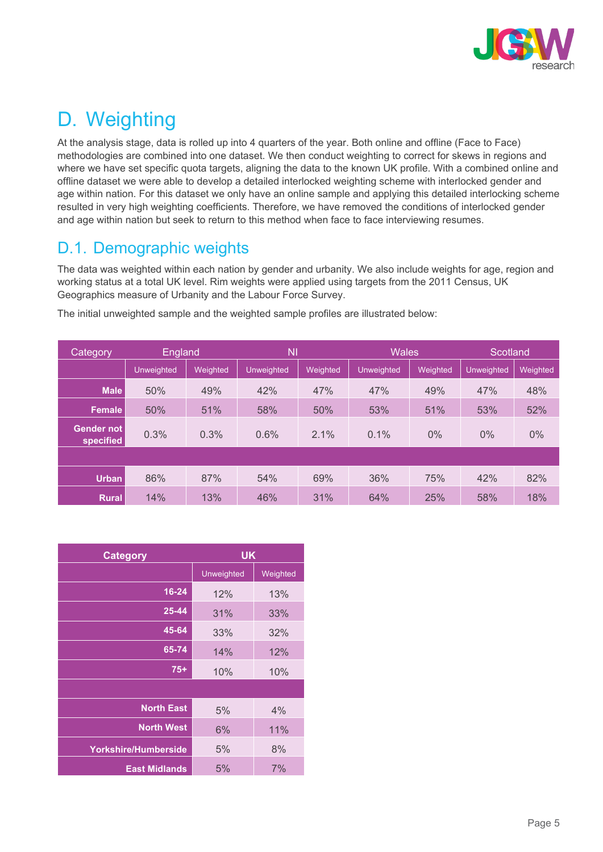

## D. Weighting

At the analysis stage, data is rolled up into 4 quarters of the year. Both online and offline (Face to Face) methodologies are combined into one dataset. We then conduct weighting to correct for skews in regions and where we have set specific quota targets, aligning the data to the known UK profile. With a combined online and offline dataset we were able to develop a detailed interlocked weighting scheme with interlocked gender and age within nation. For this dataset we only have an online sample and applying this detailed interlocking scheme resulted in very high weighting coefficients. Therefore, we have removed the conditions of interlocked gender and age within nation but seek to return to this method when face to face interviewing resumes.

### D.1. Demographic weights

The data was weighted within each nation by gender and urbanity. We also include weights for age, region and working status at a total UK level. Rim weights were applied using targets from the 2011 Census, UK Geographics measure of Urbanity and the Labour Force Survey.

| Category                |                   | N <sub>1</sub><br>England |                   | <b>Wales</b> |                   | Scotland |                   |          |
|-------------------------|-------------------|---------------------------|-------------------|--------------|-------------------|----------|-------------------|----------|
|                         | <b>Unweighted</b> | Weighted                  | <b>Unweighted</b> | Weighted     | <b>Unweighted</b> | Weighted | <b>Unweighted</b> | Weighted |
| <b>Male</b>             | 50%               | 49%                       | 42%               | 47%          | 47%               | 49%      | 47%               | 48%      |
| Female                  | 50%               | 51%                       | 58%               | 50%          | 53%               | 51%      | 53%               | 52%      |
| Gender not<br>specified | 0.3%              | 0.3%                      | 0.6%              | 2.1%         | 0.1%              | $0\%$    | $0\%$             | $0\%$    |
|                         |                   |                           |                   |              |                   |          |                   |          |
| <b>Urban</b>            | 86%               | 87%                       | 54%               | 69%          | 36%               | 75%      | 42%               | 82%      |
| <b>Rural</b>            | 14%               | 13%                       | 46%               | 31%          | 64%               | 25%      | 58%               | 18%      |

The initial unweighted sample and the weighted sample profiles are illustrated below:

| <b>Category</b>             | <b>UK</b>  |          |  |
|-----------------------------|------------|----------|--|
|                             | Unweighted | Weighted |  |
| $16 - 24$                   | 12%        | 13%      |  |
| 25-44                       | 31%        | 33%      |  |
| 45-64                       | 33%        | 32%      |  |
| $65 - 74$                   | 14%        | 12%      |  |
| $75+$                       | 10%        | 10%      |  |
|                             |            |          |  |
| <b>North East</b>           | 5%         | 4%       |  |
| <b>North West</b>           | 6%         | 11%      |  |
| <b>Yorkshire/Humberside</b> | 5%         | 8%       |  |
| <b>East Midlands</b>        | 5%         | 7%       |  |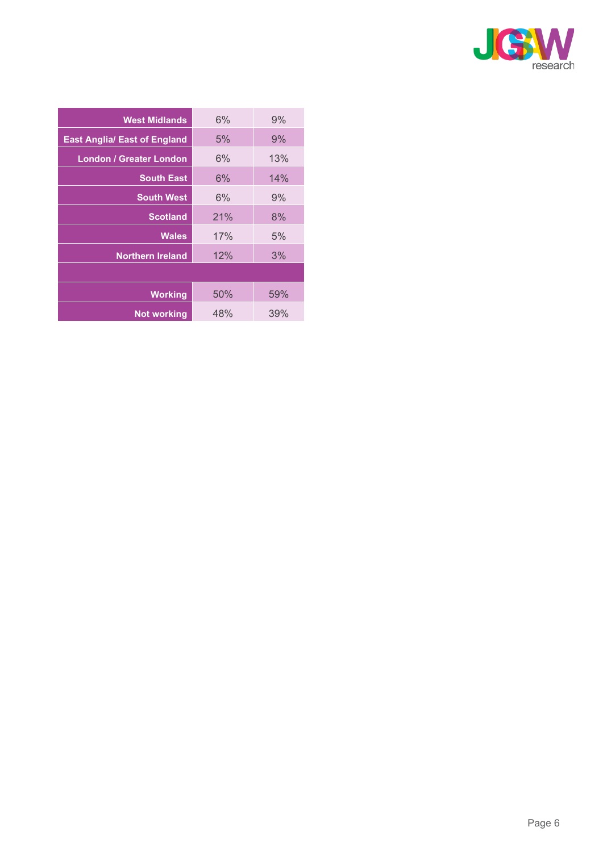

| 6%  | 9%  |
|-----|-----|
| 5%  | 9%  |
| 6%  | 13% |
| 6%  | 14% |
| 6%  | 9%  |
| 21% | 8%  |
| 17% | 5%  |
| 12% | 3%  |
|     |     |
| 50% | 59% |
| 48% | 39% |
|     |     |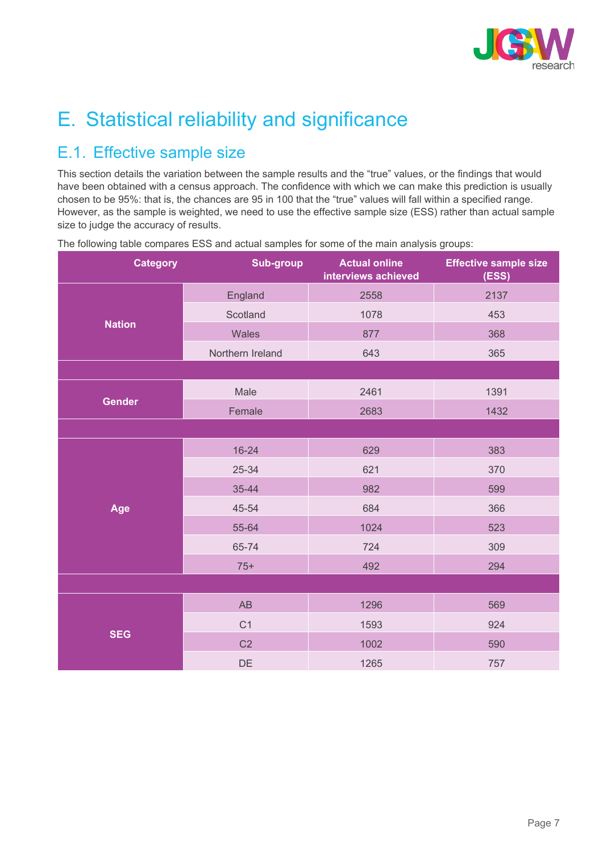

# E. Statistical reliability and significance

### E.1. Effective sample size

This section details the variation between the sample results and the "true" values, or the findings that would have been obtained with a census approach. The confidence with which we can make this prediction is usually chosen to be 95%: that is, the chances are 95 in 100 that the "true" values will fall within a specified range. However, as the sample is weighted, we need to use the effective sample size (ESS) rather than actual sample size to judge the accuracy of results.

| <b>Category</b> | <b>Sub-group</b> |      | <b>Effective sample size</b><br>(ESS) |  |
|-----------------|------------------|------|---------------------------------------|--|
|                 | England          | 2558 | 2137                                  |  |
|                 | Scotland         | 1078 | 453                                   |  |
| <b>Nation</b>   | Wales            | 877  | 368                                   |  |
|                 | Northern Ireland | 643  | 365                                   |  |
|                 |                  |      |                                       |  |
|                 | Male             | 2461 | 1391                                  |  |
| <b>Gender</b>   | Female           | 2683 | 1432                                  |  |
|                 |                  |      |                                       |  |
|                 | $16 - 24$        | 629  | 383                                   |  |
|                 | 25-34            | 621  | 370                                   |  |
|                 | 35-44            | 982  | 599                                   |  |
| Age             | 45-54            | 684  | 366                                   |  |
|                 | 55-64            | 1024 | 523                                   |  |
|                 | 65-74            | 724  | 309                                   |  |
|                 | $75+$            | 492  | 294                                   |  |
|                 |                  |      |                                       |  |
|                 | AB               | 1296 | 569                                   |  |
|                 | C <sub>1</sub>   | 1593 | 924                                   |  |
| <b>SEG</b>      | C <sub>2</sub>   | 1002 | 590                                   |  |
|                 | DE               | 1265 | 757                                   |  |

The following table compares ESS and actual samples for some of the main analysis groups: